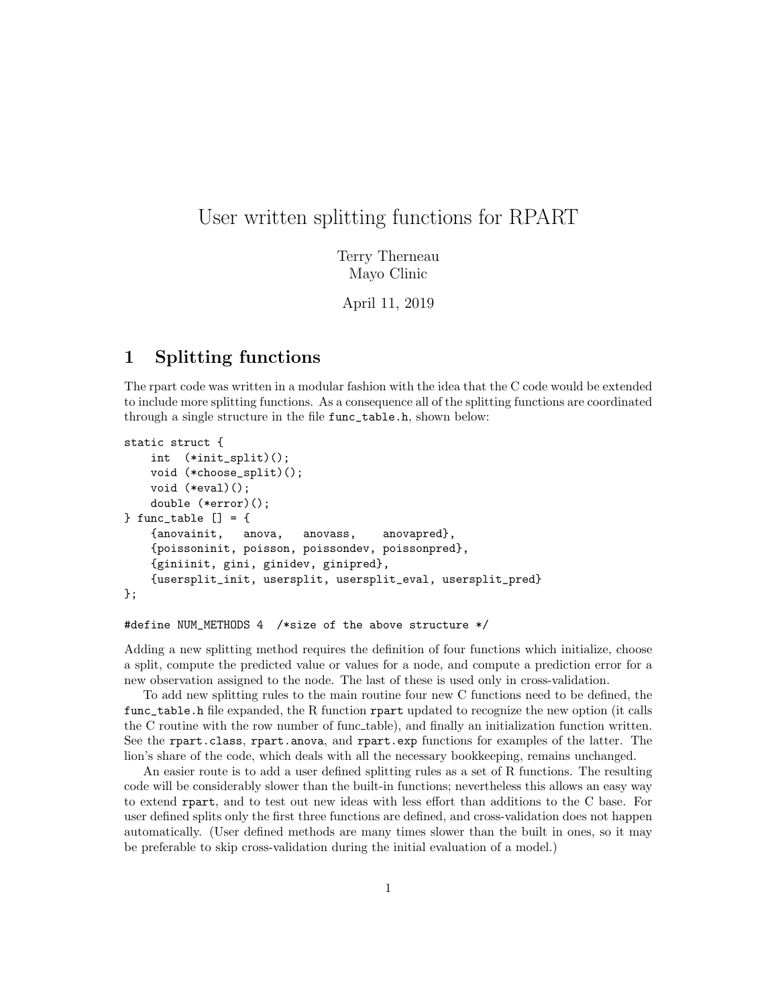# User written splitting functions for RPART

Terry Therneau Mayo Clinic

April 11, 2019

## 1 Splitting functions

The rpart code was written in a modular fashion with the idea that the C code would be extended to include more splitting functions. As a consequence all of the splitting functions are coordinated through a single structure in the file func\_table.h, shown below:

```
static struct {
    int (*init_split)();
    void (*choose_split)();
    void (*eval)();
    double (*error)();
} func_table [] = {
    {anovainit, anova, anovass, anovapred},
    {poissoninit, poisson, poissondev, poissonpred},
    {giniinit, gini, ginidev, ginipred},
    {usersplit_init, usersplit, usersplit_eval, usersplit_pred}
};
```
#### #define NUM\_METHODS 4 /\*size of the above structure \*/

Adding a new splitting method requires the definition of four functions which initialize, choose a split, compute the predicted value or values for a node, and compute a prediction error for a new observation assigned to the node. The last of these is used only in cross-validation.

To add new splitting rules to the main routine four new C functions need to be defined, the func\_table.h file expanded, the R function rpart updated to recognize the new option (it calls the C routine with the row number of func table), and finally an initialization function written. See the rpart.class, rpart.anova, and rpart.exp functions for examples of the latter. The lion's share of the code, which deals with all the necessary bookkeeping, remains unchanged.

An easier route is to add a user defined splitting rules as a set of R functions. The resulting code will be considerably slower than the built-in functions; nevertheless this allows an easy way to extend rpart, and to test out new ideas with less effort than additions to the C base. For user defined splits only the first three functions are defined, and cross-validation does not happen automatically. (User defined methods are many times slower than the built in ones, so it may be preferable to skip cross-validation during the initial evaluation of a model.)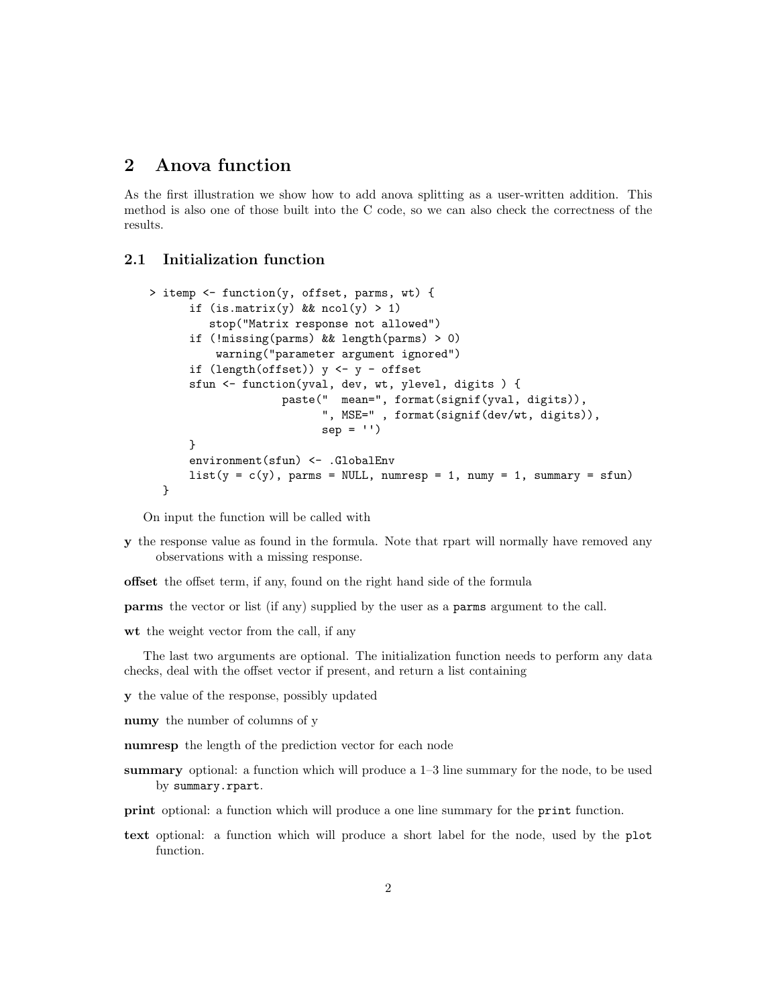### 2 Anova function

As the first illustration we show how to add anova splitting as a user-written addition. This method is also one of those built into the C code, so we can also check the correctness of the results.

### 2.1 Initialization function

```
> itemp <- function(y, offset, parms, wt) {
      if (is.mathrix(y) && ncol(y) > 1)
         stop("Matrix response not allowed")
      if (!missing(parms) && length(parms) > 0)
          warning("parameter argument ignored")
      if (length(offset)) y <- y - offset
      sfun <- function(yval, dev, wt, ylevel, digits ) {
                    paste(" mean=", format(signif(yval, digits)),
                          ", MSE=" , format(signif(dev/wt, digits)),
                          sep = '')}
      environment(sfun) <- .GlobalEnv
      list(y = c(y)), parms = NULL, numresp = 1, numy = 1, summary = sfun)
  }
```
On input the function will be called with

- y the response value as found in the formula. Note that rpart will normally have removed any observations with a missing response.
- offset the offset term, if any, found on the right hand side of the formula

parms the vector or list (if any) supplied by the user as a parms argument to the call.

wt the weight vector from the call, if any

The last two arguments are optional. The initialization function needs to perform any data checks, deal with the offset vector if present, and return a list containing

- y the value of the response, possibly updated
- numy the number of columns of y
- numresp the length of the prediction vector for each node
- summary optional: a function which will produce a 1–3 line summary for the node, to be used by summary.rpart.
- print optional: a function which will produce a one line summary for the print function.
- text optional: a function which will produce a short label for the node, used by the plot function.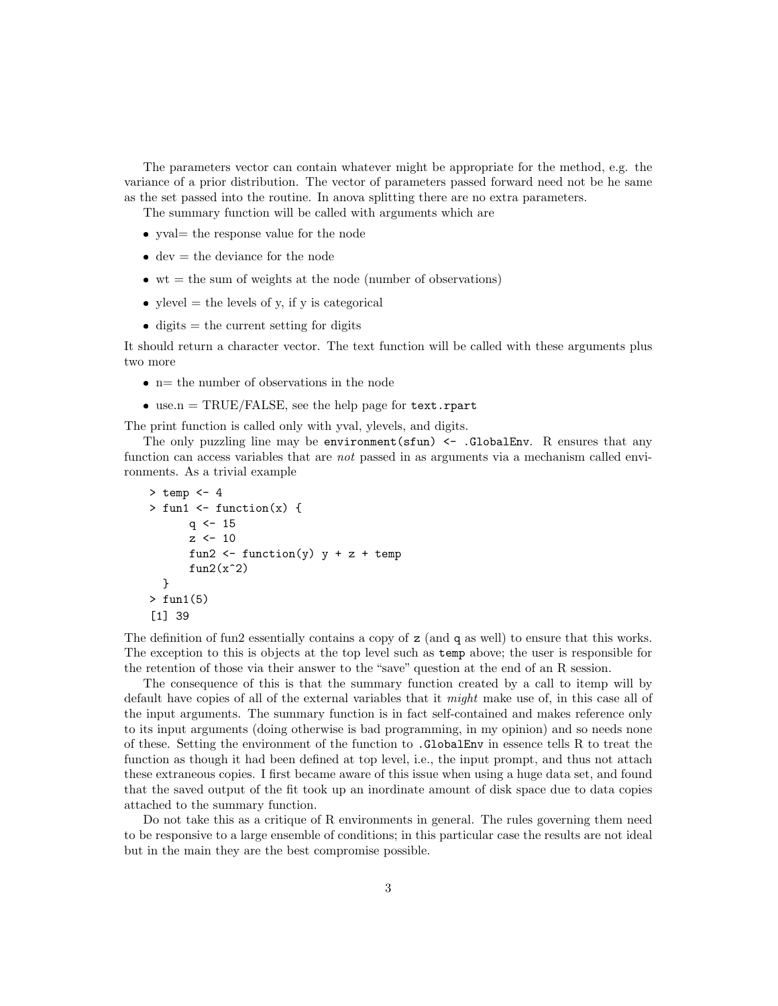The parameters vector can contain whatever might be appropriate for the method, e.g. the variance of a prior distribution. The vector of parameters passed forward need not be he same as the set passed into the routine. In anova splitting there are no extra parameters.

The summary function will be called with arguments which are

- yval= the response value for the node
- $\bullet$  dev = the deviance for the node
- $\bullet$  wt = the sum of weights at the node (number of observations)
- ylevel  $=$  the levels of y, if y is categorical
- $\bullet$  digits = the current setting for digits

It should return a character vector. The text function will be called with these arguments plus two more

- $\bullet$  n= the number of observations in the node
- $\bullet$  use.n = TRUE/FALSE, see the help page for  $text.rpart$

The print function is called only with yval, ylevels, and digits.

The only puzzling line may be environment  $(\text{stun})$  <- .GlobalEnv. R ensures that any function can access variables that are *not* passed in as arguments via a mechanism called environments. As a trivial example

```
> temp <-4> fun1 \leftarrow function(x) {
       q \le -15z \sim 10fun2 \leftarrow function(y) y + z + temp
       fun2(x^2)}
> fun1(5)
[1] 39
```
The definition of fun2 essentially contains a copy of z (and q as well) to ensure that this works. The exception to this is objects at the top level such as temp above; the user is responsible for the retention of those via their answer to the "save" question at the end of an R session.

The consequence of this is that the summary function created by a call to itemp will by default have copies of all of the external variables that it might make use of, in this case all of the input arguments. The summary function is in fact self-contained and makes reference only to its input arguments (doing otherwise is bad programming, in my opinion) and so needs none of these. Setting the environment of the function to .GlobalEnv in essence tells R to treat the function as though it had been defined at top level, i.e., the input prompt, and thus not attach these extraneous copies. I first became aware of this issue when using a huge data set, and found that the saved output of the fit took up an inordinate amount of disk space due to data copies attached to the summary function.

Do not take this as a critique of R environments in general. The rules governing them need to be responsive to a large ensemble of conditions; in this particular case the results are not ideal but in the main they are the best compromise possible.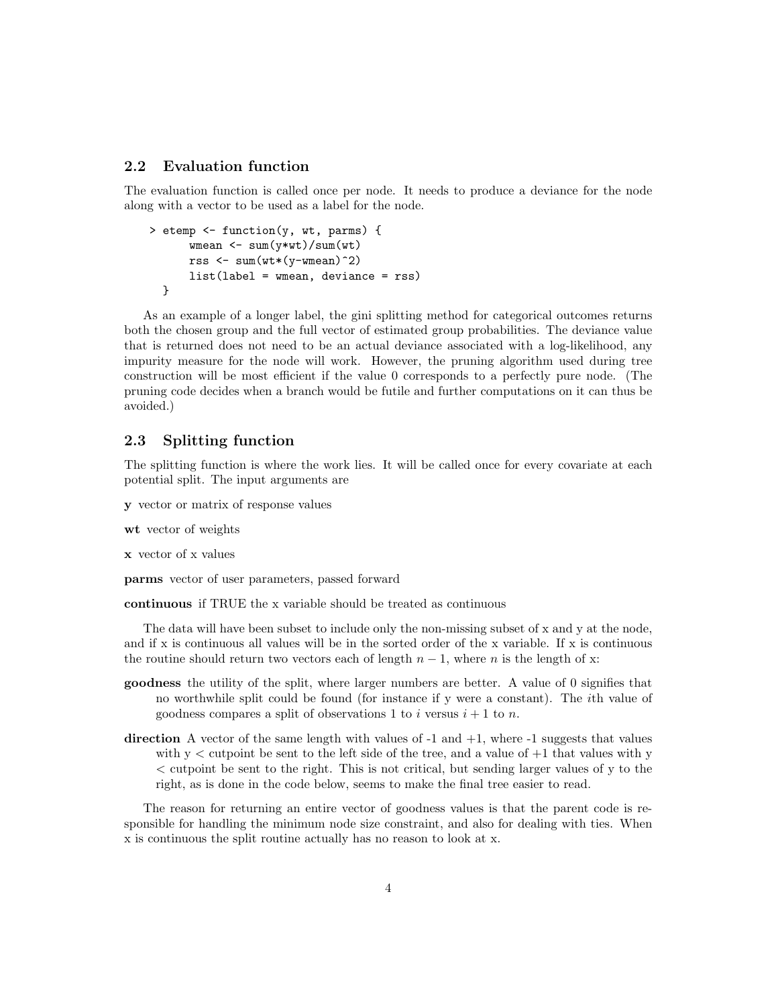#### 2.2 Evaluation function

The evaluation function is called once per node. It needs to produce a deviance for the node along with a vector to be used as a label for the node.

```
> etemp <- function(y, wt, parms) {
      wmean <- sum(y*wt)/sum(wt)
      rss \leq sum(wt*(y-wmean)^2)
      list(label = wmean, deviance = rss)
 }
```
As an example of a longer label, the gini splitting method for categorical outcomes returns both the chosen group and the full vector of estimated group probabilities. The deviance value that is returned does not need to be an actual deviance associated with a log-likelihood, any impurity measure for the node will work. However, the pruning algorithm used during tree construction will be most efficient if the value 0 corresponds to a perfectly pure node. (The pruning code decides when a branch would be futile and further computations on it can thus be avoided.)

### 2.3 Splitting function

The splitting function is where the work lies. It will be called once for every covariate at each potential split. The input arguments are

- y vector or matrix of response values
- wt vector of weights
- x vector of x values

parms vector of user parameters, passed forward

continuous if TRUE the x variable should be treated as continuous

The data will have been subset to include only the non-missing subset of x and y at the node, and if x is continuous all values will be in the sorted order of the x variable. If x is continuous the routine should return two vectors each of length  $n - 1$ , where n is the length of x:

- goodness the utility of the split, where larger numbers are better. A value of 0 signifies that no worthwhile split could be found (for instance if y were a constant). The ith value of goodness compares a split of observations 1 to i versus  $i + 1$  to n.
- direction A vector of the same length with values of  $-1$  and  $+1$ , where  $-1$  suggests that values with  $y <$  cutpoint be sent to the left side of the tree, and a value of  $+1$  that values with y < cutpoint be sent to the right. This is not critical, but sending larger values of y to the right, as is done in the code below, seems to make the final tree easier to read.

The reason for returning an entire vector of goodness values is that the parent code is responsible for handling the minimum node size constraint, and also for dealing with ties. When x is continuous the split routine actually has no reason to look at x.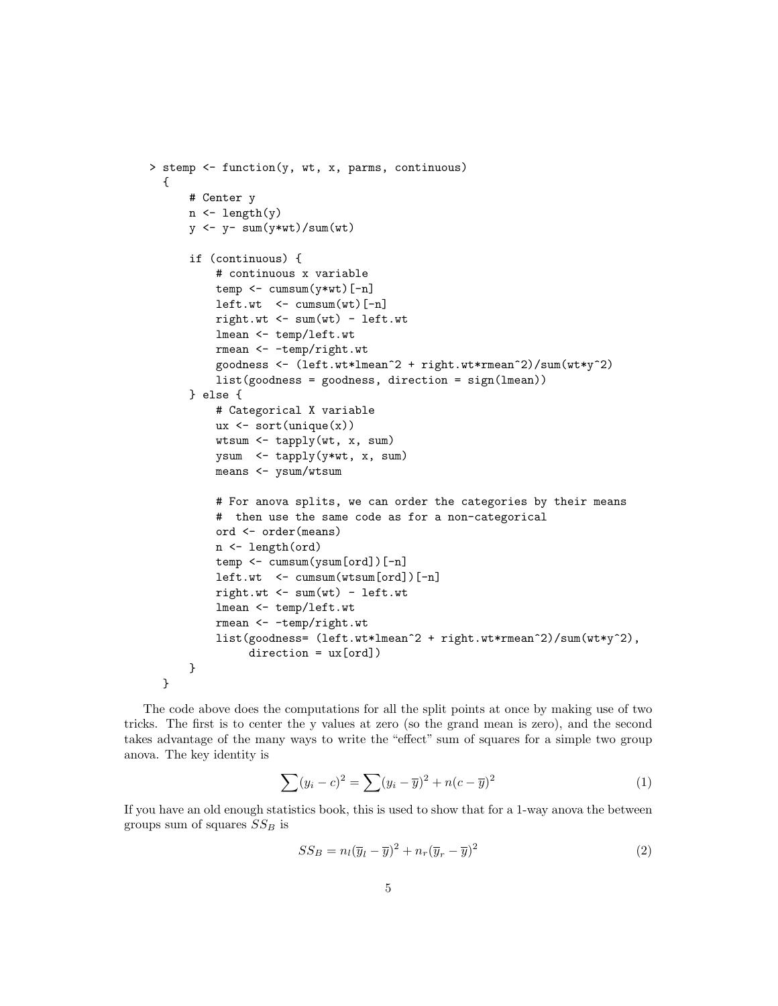```
> stemp <- function(y, wt, x, parms, continuous)
  {
      # Center y
      n <- length(y)
      y \leftarrow y - \text{sum}(y*wt)/\text{sum}(wt)if (continuous) {
          # continuous x variable
          temp \leftarrow cumsum(y*wt)[-n]
          left.wt <- cumsum(wt)[-n]
          right.wt < -sum(wt) - left.wtlmean <- temp/left.wt
          rmean <- -temp/right.wt
          goodness <- (left.wt*lmean^2 + right.wt*rmean^2)/sum(wt*y^2)
          list(goodness = goodness, direction = sign(lmean))
      } else {
          # Categorical X variable
          ux \leftarrow sort(unique(x))wtsum <- tapply(wt, x, sum)
          ysum <- tapply(y*wt, x, sum)
          means <- ysum/wtsum
          # For anova splits, we can order the categories by their means
          # then use the same code as for a non-categorical
          ord <- order(means)
          n <- length(ord)
          temp <- cumsum(ysum[ord])[-n]
          left.wt <- cumsum(wtsum[ord])[-n]
          right.wt < -sum(wt) - left.wtlmean <- temp/left.wt
          rmean <- -temp/right.wt
          list(goodness= (left.wt*lmean^2 + right.wt*rmean^2)/sum(wt*y^2),
               direction = ux[ord])}
  }
```
The code above does the computations for all the split points at once by making use of two tricks. The first is to center the y values at zero (so the grand mean is zero), and the second takes advantage of the many ways to write the "effect" sum of squares for a simple two group anova. The key identity is

$$
\sum (y_i - c)^2 = \sum (y_i - \overline{y})^2 + n(c - \overline{y})^2
$$
\n(1)

If you have an old enough statistics book, this is used to show that for a 1-way anova the between groups sum of squares  $SS_B$  is

$$
SS_B = n_l(\overline{y}_l - \overline{y})^2 + n_r(\overline{y}_r - \overline{y})^2
$$
\n(2)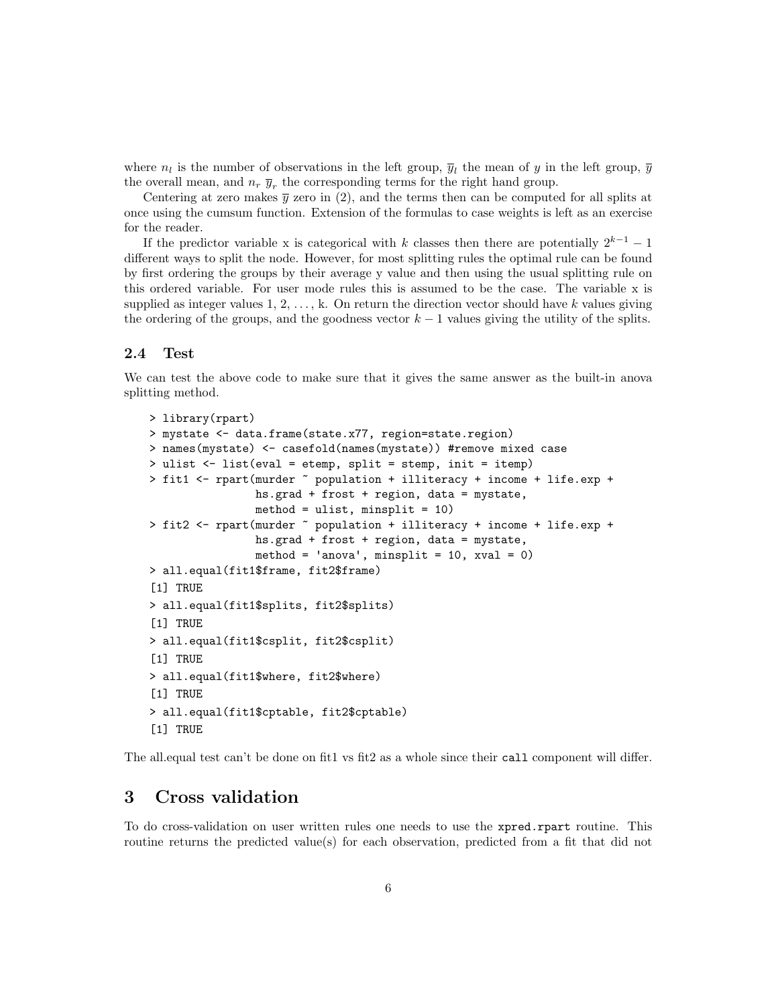where  $n_l$  is the number of observations in the left group,  $\overline{y}_l$  the mean of y in the left group,  $\overline{y}$ the overall mean, and  $n_r \bar{y}_r$ , the corresponding terms for the right hand group.

Centering at zero makes  $\bar{y}$  zero in (2), and the terms then can be computed for all splits at once using the cumsum function. Extension of the formulas to case weights is left as an exercise for the reader.

If the predictor variable x is categorical with k classes then there are potentially  $2^{k-1} - 1$ different ways to split the node. However, for most splitting rules the optimal rule can be found by first ordering the groups by their average y value and then using the usual splitting rule on this ordered variable. For user mode rules this is assumed to be the case. The variable x is supplied as integer values  $1, 2, \ldots, k$ . On return the direction vector should have k values giving the ordering of the groups, and the goodness vector  $k - 1$  values giving the utility of the splits.

#### 2.4 Test

We can test the above code to make sure that it gives the same answer as the built-in anova splitting method.

```
> library(rpart)
> mystate <- data.frame(state.x77, region=state.region)
> names(mystate) <- casefold(names(mystate)) #remove mixed case
> ulist <- list(eval = etemp, split = stemp, init = itemp)
> fit1 <- rpart(murder ~ population + illiteracy + income + life.exp +
                hs.grad + frost + region, data = mystate,
                method = ulist, minsplit = 10)
> fit2 <- rpart(murder ~ population + illiteracy + income + life.exp +
                hs.grad + frost + region, data = mystate,
                method = 'anova', misplit = 10, xval = 0)> all.equal(fit1$frame, fit2$frame)
[1] TRUE
> all.equal(fit1$splits, fit2$splits)
[1] TRUE
> all.equal(fit1$csplit, fit2$csplit)
[1] TRUE
> all.equal(fit1$where, fit2$where)
[1] TRUE
> all.equal(fit1$cptable, fit2$cptable)
[1] TRUE
```
The all equal test can't be done on fit1 vs fit2 as a whole since their call component will differ.

### 3 Cross validation

To do cross-validation on user written rules one needs to use the xpred.rpart routine. This routine returns the predicted value(s) for each observation, predicted from a fit that did not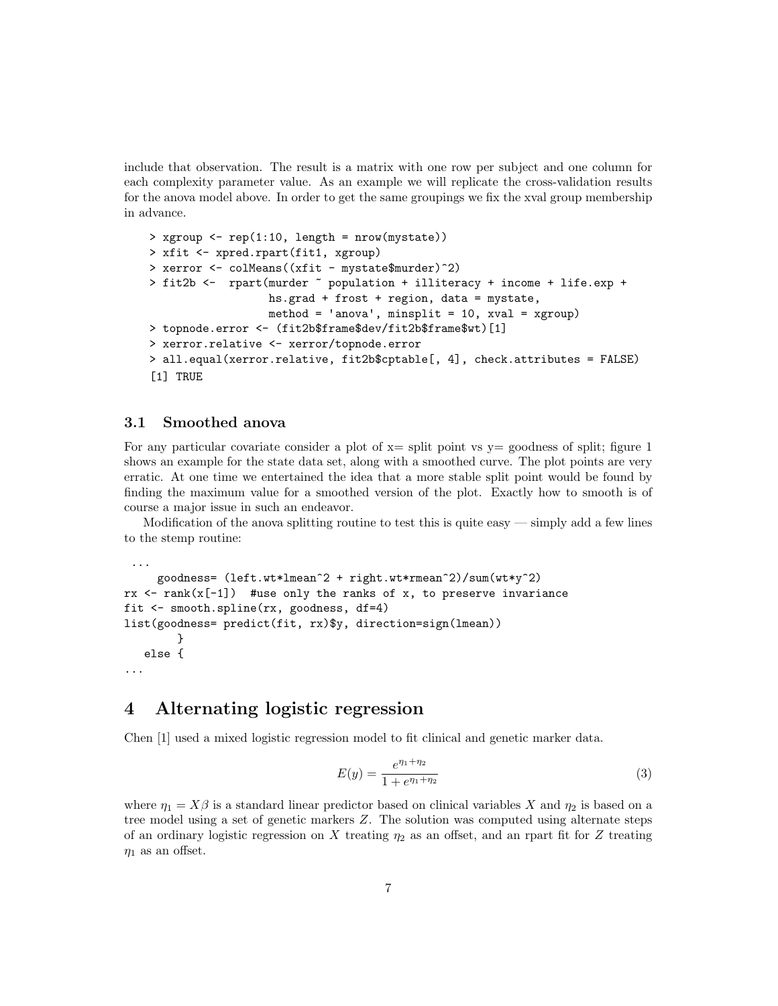include that observation. The result is a matrix with one row per subject and one column for each complexity parameter value. As an example we will replicate the cross-validation results for the anova model above. In order to get the same groupings we fix the xval group membership in advance.

```
> xgroup \leq rep(1:10, length = nrow(mystate))
> xfit <- xpred.rpart(fit1, xgroup)
> xerror <- colMeans((xfit - mystate$murder)^2)
> fit2b <- rpart(murder ~ population + illiteracy + income + life.exp +
                  hs.grad + frost + region, data = mystate,
                  method = 'anova', minsplit = 10, xval = xgroup)
> topnode.error <- (fit2b$frame$dev/fit2b$frame$wt)[1]
> xerror.relative <- xerror/topnode.error
> all.equal(xerror.relative, fit2b$cptable[, 4], check.attributes = FALSE)
[1] TRUE
```
#### 3.1 Smoothed anova

...

For any particular covariate consider a plot of  $x=$  split point vs  $y=$  goodness of split; figure 1 shows an example for the state data set, along with a smoothed curve. The plot points are very erratic. At one time we entertained the idea that a more stable split point would be found by finding the maximum value for a smoothed version of the plot. Exactly how to smooth is of course a major issue in such an endeavor.

Modification of the anova splitting routine to test this is quite easy  $-\frac{1}{2}$  simply add a few lines to the stemp routine:

```
goodness= (left.wt*lmean^2 + right.wt*rmean^2)/sum(wt*y^2)
rx < - rank(x[-1]) #use only the ranks of x, to preserve invariance
fit <- smooth.spline(rx, goodness, df=4)
list(goodness= predict(fit, rx)$y, direction=sign(lmean))
        }
  else {
...
```
### 4 Alternating logistic regression

Chen [1] used a mixed logistic regression model to fit clinical and genetic marker data.

$$
E(y) = \frac{e^{\eta_1 + \eta_2}}{1 + e^{\eta_1 + \eta_2}}
$$
\n(3)

where  $\eta_1 = X\beta$  is a standard linear predictor based on clinical variables X and  $\eta_2$  is based on a tree model using a set of genetic markers Z. The solution was computed using alternate steps of an ordinary logistic regression on X treating  $\eta_2$  as an offset, and an rpart fit for Z treating  $\eta_1$  as an offset.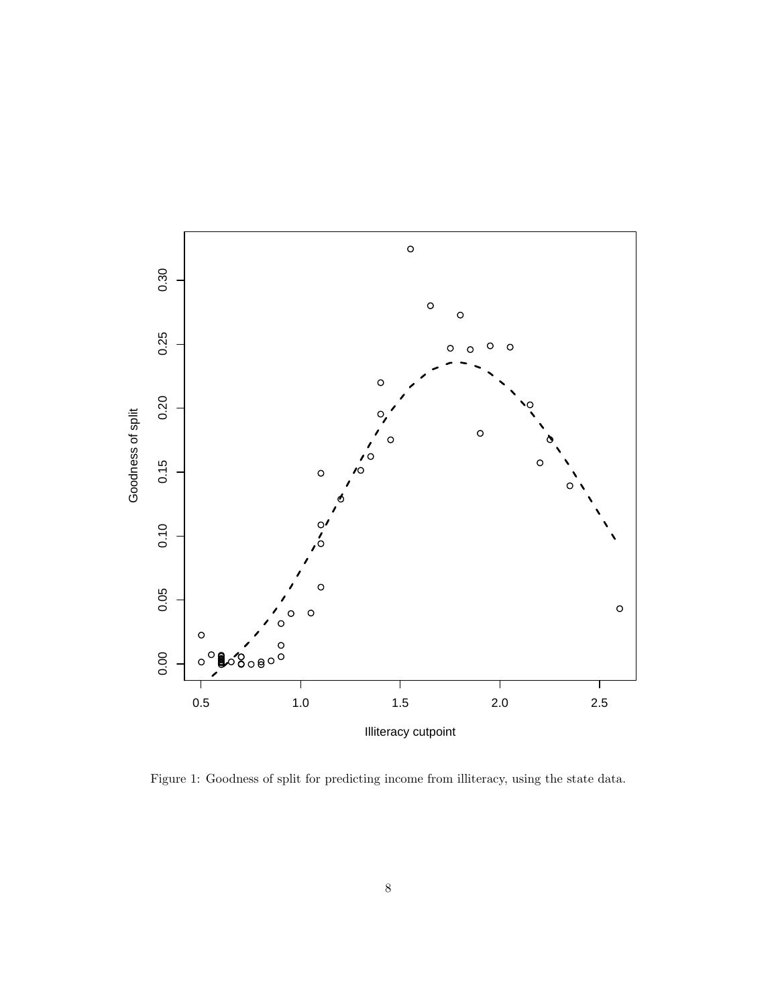

Figure 1: Goodness of split for predicting income from illiteracy, using the state data.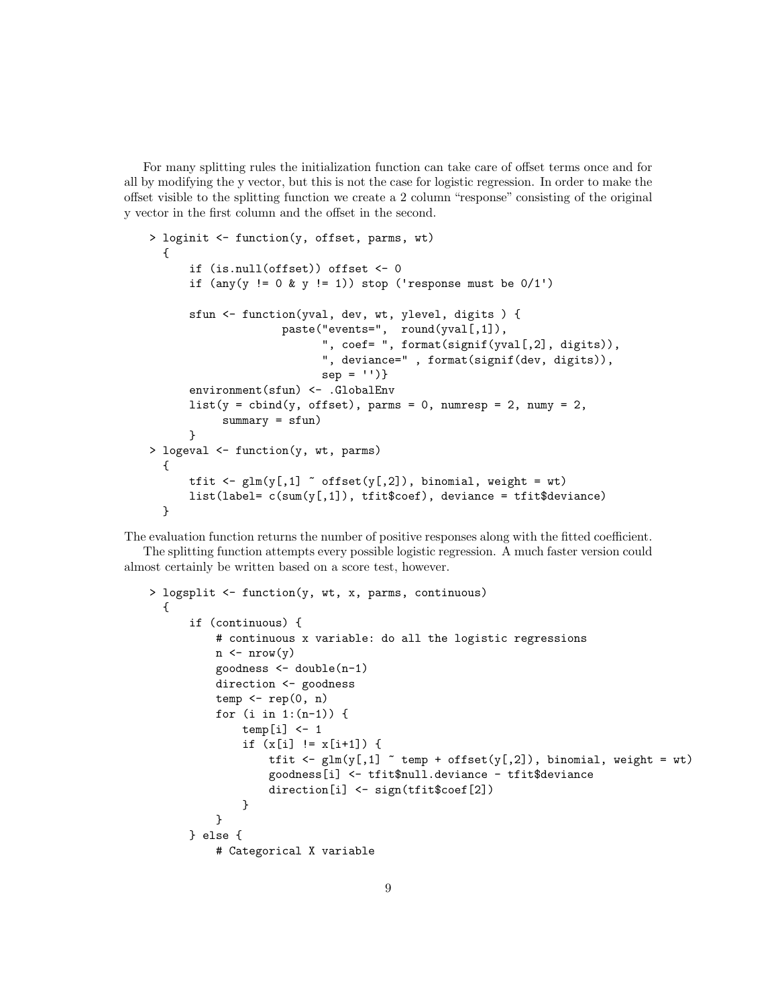For many splitting rules the initialization function can take care of offset terms once and for all by modifying the y vector, but this is not the case for logistic regression. In order to make the offset visible to the splitting function we create a 2 column "response" consisting of the original y vector in the first column and the offset in the second.

```
> loginit <- function(y, offset, parms, wt)
 {
      if (is.null(offset)) offset <- 0
      if (\text{any}(y := 0 \& y := 1)) stop ('response must be 0/1')
      sfun <- function(yval, dev, wt, ylevel, digits ) {
                    paste("events=", round(yval[,1]),
                           ", coef= ", format(signif(yval[,2], digits)),
                           ", deviance=" , format(signif(dev, digits)),
                           sep = '')environment(sfun) <- .GlobalEnv
      list(y = child(y, offset), parms = 0, numresp = 2, numy = 2,summary = stun)}
> logeval <- function(y, wt, parms)
  {
      tfit \leq glm(y[,1] \sim offset(y[,2]), binomial, weight = wt)
      list(label = c(sum(y[,1]), \text{tfit}\$coeff), deviance = tfit$deviance)}
```
The evaluation function returns the number of positive responses along with the fitted coefficient.

The splitting function attempts every possible logistic regression. A much faster version could almost certainly be written based on a score test, however.

```
> logsplit <- function(y, wt, x, parms, continuous)
  {
      if (continuous) {
           # continuous x variable: do all the logistic regressions
          n \leftarrow \text{nrow}(y)goodness <- double(n-1)
           direction <- goodness
           temp \leftarrow rep(0, n)for (i in 1:(n-1)) {
               temp[i] <- 1
               if (x[i] := x[i+1]) {
                   tfit \leq glm(y[,1] \sim temp + offset(y[,2]), binomial, weight = wt)
                   goodness[i] <- tfit$null.deviance - tfit$deviance
                   direction[i] <- sign(tfit$coef[2])
               }
           }
      } else {
           # Categorical X variable
```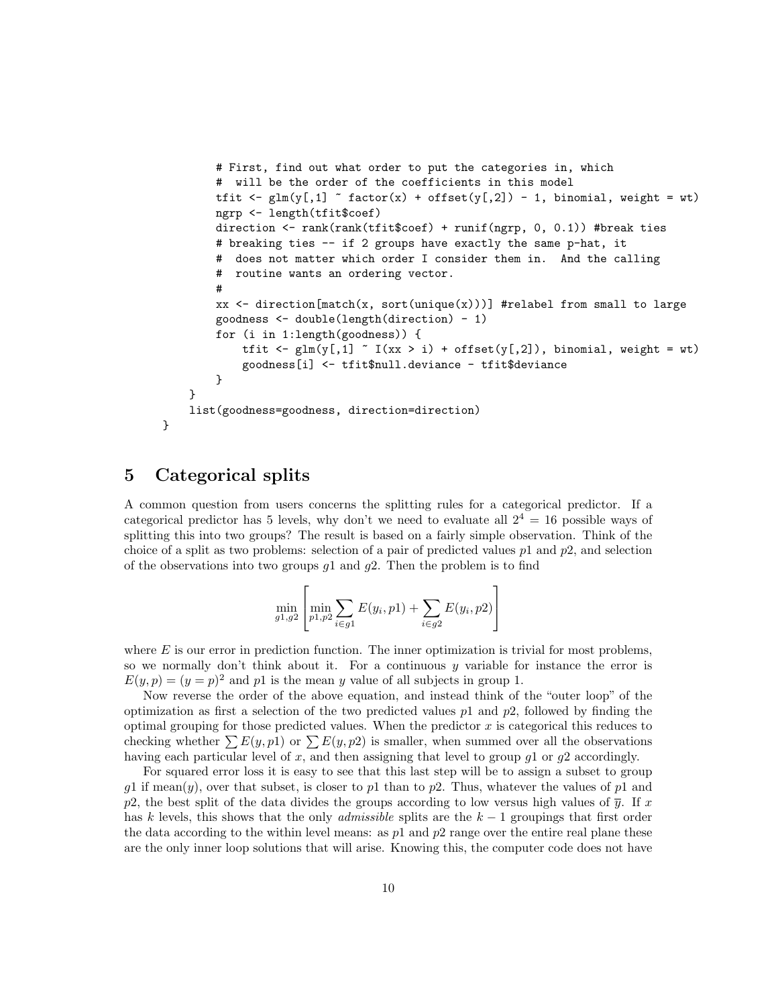```
# First, find out what order to put the categories in, which
        # will be the order of the coefficients in this model
        tfit \leq glm(y[,1] \sim factor(x) + offset(y[,2]) - 1, binomial, weight = wt)
        ngrp <- length(tfit$coef)
        direction <- rank(rank(tfit$coef) + runif(ngrp, 0, 0.1)) #break ties
        # breaking ties -- if 2 groups have exactly the same p-hat, it
           does not matter which order I consider them in. And the calling
        # routine wants an ordering vector.
        #
        xx \leq direction [match(x, sort(unique(x)))] #relabel from small to large
        goodness <- double(length(direction) - 1)
        for (i in 1:length(goodness)) {
            tfit \leq glm(y[,1] \leq I(xx > i) + offset(y[,2]), binomial, weight = wt)
            goodness[i] <- tfit$null.deviance - tfit$deviance
        }
    }
    list(goodness=goodness, direction=direction)
}
```
### 5 Categorical splits

A common question from users concerns the splitting rules for a categorical predictor. If a categorical predictor has 5 levels, why don't we need to evaluate all  $2^4 = 16$  possible ways of splitting this into two groups? The result is based on a fairly simple observation. Think of the choice of a split as two problems: selection of a pair of predicted values  $p1$  and  $p2$ , and selection of the observations into two groups  $g_1$  and  $g_2$ . Then the problem is to find

$$
\min_{g1,g2} \left[ \min_{p1,p2} \sum_{i \in g1} E(y_i, p1) + \sum_{i \in g2} E(y_i, p2) \right]
$$

where  $E$  is our error in prediction function. The inner optimization is trivial for most problems, so we normally don't think about it. For a continuous  $y$  variable for instance the error is  $E(y, p) = (y = p)^2$  and p1 is the mean y value of all subjects in group 1.

Now reverse the order of the above equation, and instead think of the "outer loop" of the optimization as first a selection of the two predicted values  $p_1$  and  $p_2$ , followed by finding the optimal grouping for those predicted values. When the predictor  $x$  is categorical this reduces to checking whether  $\sum E(y, p1)$  or  $\sum E(y, p2)$  is smaller, when summed over all the observations having each particular level of x, and then assigning that level to group  $q_1$  or  $q_2$  accordingly.

For squared error loss it is easy to see that this last step will be to assign a subset to group g1 if mean(y), over that subset, is closer to p1 than to p2. Thus, whatever the values of p1 and p2, the best split of the data divides the groups according to low versus high values of  $\bar{y}$ . If x has k levels, this shows that the only *admissible* splits are the  $k-1$  groupings that first order the data according to the within level means: as  $p1$  and  $p2$  range over the entire real plane these are the only inner loop solutions that will arise. Knowing this, the computer code does not have